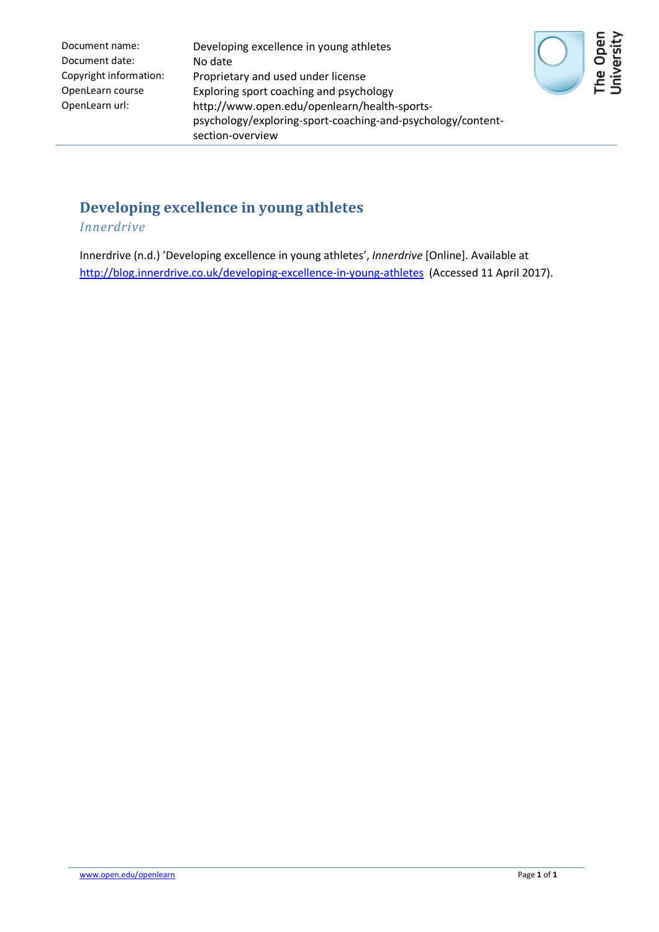| Document name:         |
|------------------------|
| Document date:         |
| Copyright information: |
| OpenLearn course       |
| OpenLearn url:         |

Developing excellence in young athletes No date Proprietary and used under license Exploring sport coaching and psychology http://www.open.edu/openlearn/health-sportspsychology/exploring-sport-coaching-and-psychology/contentsection-overview



## **Developing excellence in young athletes**

*Innerdrive*

Innerdrive (n.d.) 'Developing excellence in young athletes', *Innerdrive* [Online]. Available at <http://blog.innerdrive.co.uk/developing-excellence-in-young-athletes> (Accessed 11 April 2017).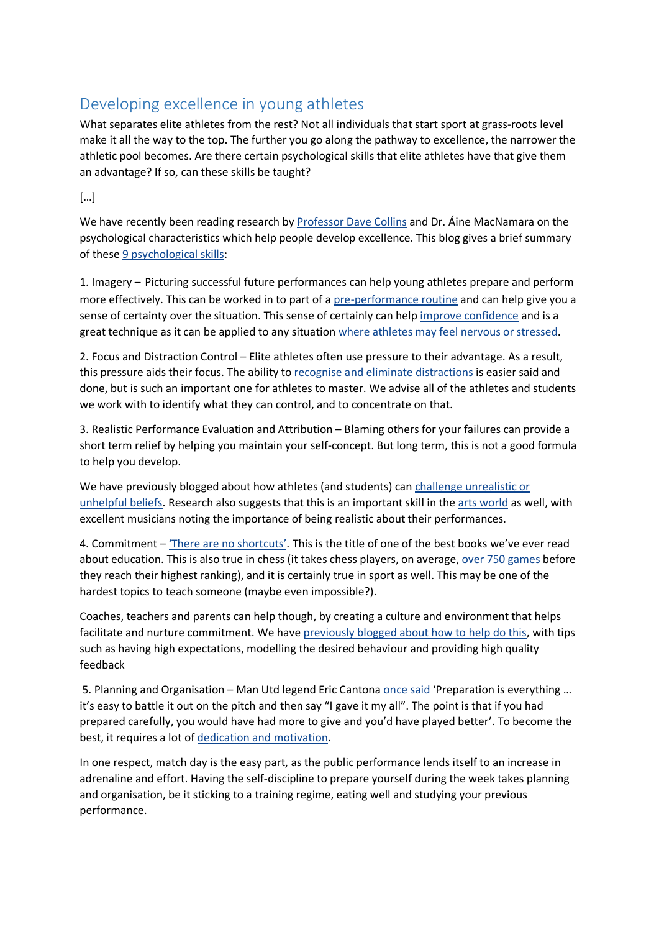## Developing excellence in young athletes

What separates elite athletes from the rest? Not all individuals that start sport at grass-roots level make it all the way to the top. The further you go along the pathway to excellence, the narrower the athletic pool becomes. Are there certain psychological skills that elite athletes have that give them an advantage? If so, can these skills be taught?

[…]

We have recently been reading research by **Professor Dave Collins** and Dr. Aine MacNamara on the psychological characteristics which help people develop excellence. This blog gives a brief summary of these [9 psychological skills:](http://clok.uclan.ac.uk/4826/)

1. Imagery – Picturing successful future performances can help young athletes prepare and perform more effectively. This can be worked in to part of a [pre-performance routine](http://search.proquest.com/openview/6c92ae867d6019346099a4f0baff6894/1?pq-origsite=gscholar) and can help give you a sense of certainty over the situation. This sense of certainly can help [improve confidence](http://www.innerdrive.co.uk/Release_Your_Inner_Drive/5-ways-to-manage-nerves/) and is a great technique as it can be applied to any situation [where athletes may feel nervous or stressed.](http://www.innerdrive.co.uk/Release_Your_Inner_Drive/what-to-think-about-before-an-exam/)

2. Focus and Distraction Control – Elite athletes often use pressure to their advantage. As a result, this pressure aids their focus. The ability to [recognise and eliminate distractions](http://psycnet.apa.org/psycinfo/1991-08696-001) is easier said and done, but is such an important one for athletes to master. We advise all of the athletes and students we work with to identify what they can control, and to concentrate on that.

3. Realistic Performance Evaluation and Attribution – Blaming others for your failures can provide a short term relief by helping you maintain your self-concept. But long term, this is not a good formula to help you develop.

We have previously blogged about how athletes (and students) can challenge unrealistic or [unhelpful beliefs.](http://www.innerdrive.co.uk/Release_Your_Inner_Drive/challenging-unhelpful-beliefs/) Research also suggests that this is an important skill in the [arts world](http://journals.cambridge.org/action/displayAbstract?fromPage=online&aid=547320&fileId=S0265051706007066) as well, with excellent musicians noting the importance of being realistic about their performances.

4. Commitment – ['There are no shortcuts'.](http://www.amazon.co.uk/There-are-Shortcuts-Rafe-Esquith/dp/1400030838) This is the title of one of the best books we've ever read about education. This is also true in chess (it takes chess players, on average[, over 750 games](http://www.innerdrive.co.uk/Release_Your_Inner_Drive/growth-mindset-stories-science/) before they reach their highest ranking), and it is certainly true in sport as well. This may be one of the hardest topics to teach someone (maybe even impossible?).

Coaches, teachers and parents can help though, by creating a culture and environment that helps facilitate and nurture commitment. We have [previously blogged about how to help do this,](http://www.innerdrive.co.uk/Release_Your_Inner_Drive/how-to-help-students-raise-their-game/) with tips such as having high expectations, modelling the desired behaviour and providing high quality feedback

5. Planning and Organisation – Man Utd legend Eric Cantona [once said](https://books.google.co.uk/books?id=N7-GCZCvyxcC&pg=PT31&lpg=PT31&dq=ERIC+CANTONA+PREPARATION+MORE+TO+GIVE&source=bl&ots=uSgRO-9rG6&sig=w7f23P6NiUT3l3ggyRiLneuSKD4&hl=en&sa=X&ved=0ahUKEwjf2YHt_NjKAhXEVxQKHfSqAGwQ6AEIIDAA#v=onepage&q=ERIC%20CANTONA%20PREPARATION%20MORE%20TO%20GIVE&f=false) 'Preparation is everything ... it's easy to battle it out on the pitch and then say "I gave it my all". The point is that if you had prepared carefully, you would have had more to give and you'd have played better'. To become the best, it requires a lot of [dedication and motivation.](http://www.sciencedirect.com/science/article/pii/S1469029202000432)

In one respect, match day is the easy part, as the public performance lends itself to an increase in adrenaline and effort. Having the self-discipline to prepare yourself during the week takes planning and organisation, be it sticking to a training regime, eating well and studying your previous performance.